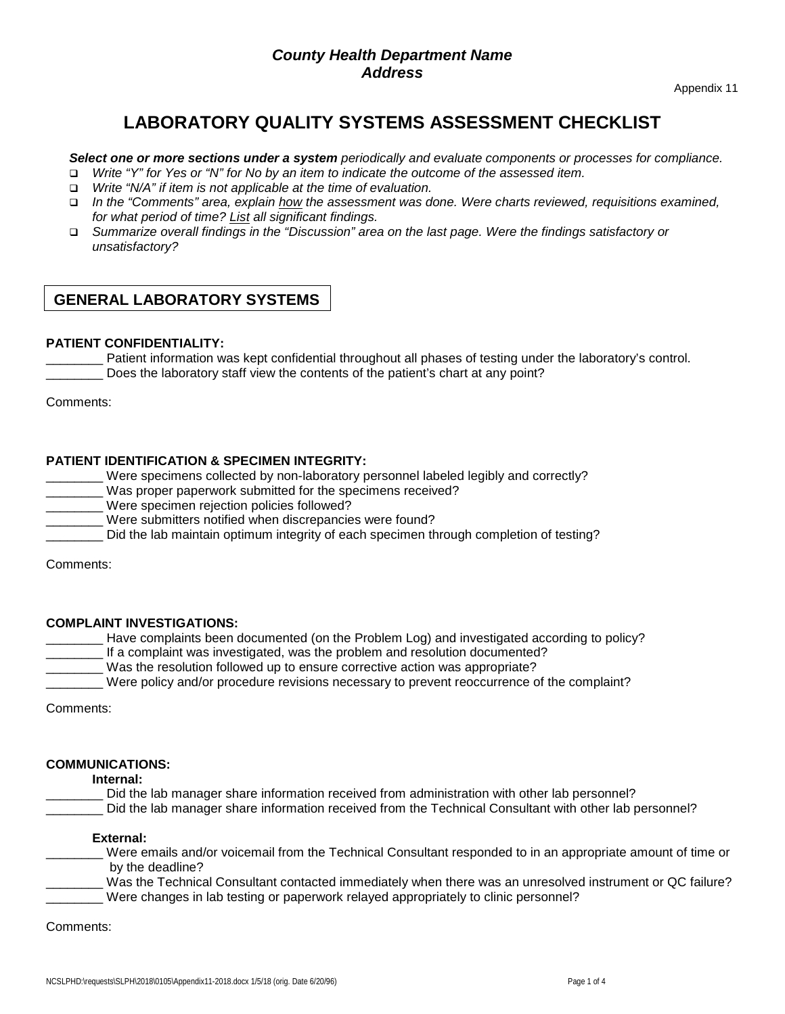# **LABORATORY QUALITY SYSTEMS ASSESSMENT CHECKLIST**

#### *Select one or more sections under a system periodically and evaluate components or processes for compliance.*

- *Write "Y" for Yes or "N" for No by an item to indicate the outcome of the assessed item.*
- *Write "N/A" if item is not applicable at the time of evaluation.*
- *In the "Comments" area, explain how the assessment was done. Were charts reviewed, requisitions examined, for what period of time? List all significant findings.*
- *Summarize overall findings in the "Discussion" area on the last page. Were the findings satisfactory or unsatisfactory?*

# **GENERAL LABORATORY SYSTEMS**

#### **PATIENT CONFIDENTIALITY:**

Patient information was kept confidential throughout all phases of testing under the laboratory's control. \_\_\_\_\_\_\_\_ Does the laboratory staff view the contents of the patient's chart at any point?

Comments:

#### **PATIENT IDENTIFICATION & SPECIMEN INTEGRITY:**

Were specimens collected by non-laboratory personnel labeled legibly and correctly? Was proper paperwork submitted for the specimens received? Were specimen rejection policies followed? Were submitters notified when discrepancies were found? \_\_\_\_\_\_\_\_ Did the lab maintain optimum integrity of each specimen through completion of testing? Comments:

#### **COMPLAINT INVESTIGATIONS:**

Have complaints been documented (on the Problem Log) and investigated according to policy? If a complaint was investigated, was the problem and resolution documented? Was the resolution followed up to ensure corrective action was appropriate? Were policy and/or procedure revisions necessary to prevent reoccurrence of the complaint?

Comments:

#### **COMMUNICATIONS:**

**Internal:** 

- Did the lab manager share information received from administration with other lab personnel?
- Did the lab manager share information received from the Technical Consultant with other lab personnel?

#### **External:**

\_\_\_\_\_\_\_\_ Were emails and/or voicemail from the Technical Consultant responded to in an appropriate amount of time or by the deadline?

Was the Technical Consultant contacted immediately when there was an unresolved instrument or QC failure? Were changes in lab testing or paperwork relayed appropriately to clinic personnel?

Comments: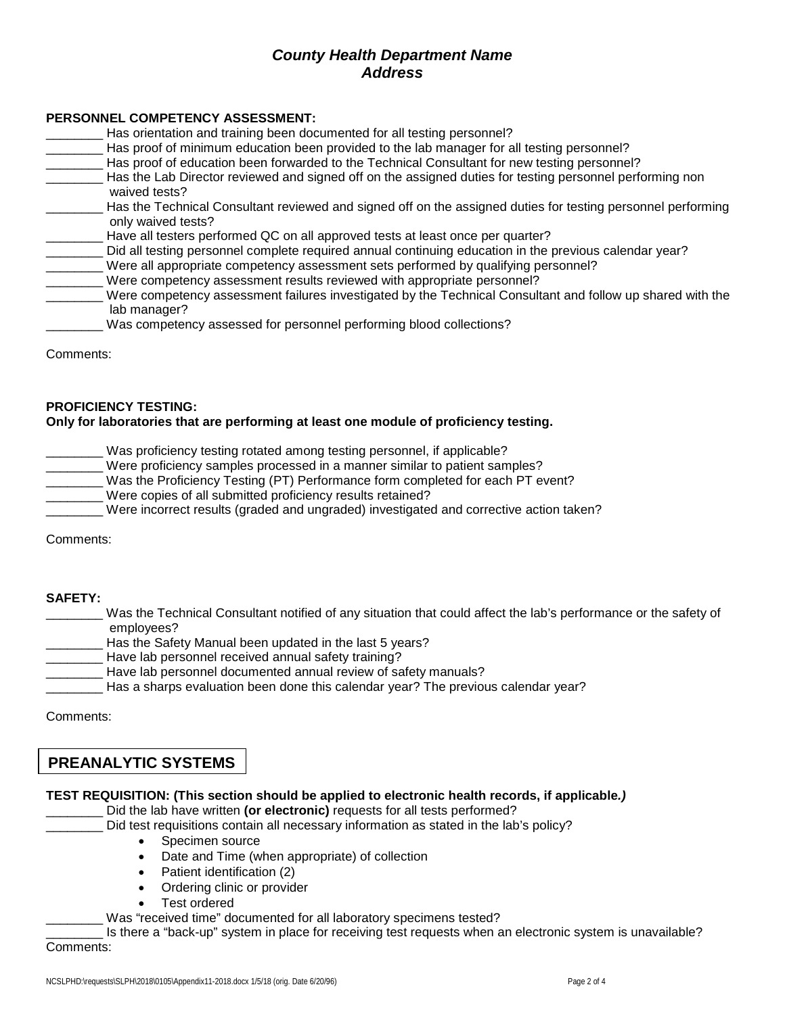#### **PERSONNEL COMPETENCY ASSESSMENT:**

| Has orientation and training been documented for all testing personnel?                                                                                                                      |
|----------------------------------------------------------------------------------------------------------------------------------------------------------------------------------------------|
| Has proof of minimum education been provided to the lab manager for all testing personnel?                                                                                                   |
| Has proof of education been forwarded to the Technical Consultant for new testing personnel?                                                                                                 |
| Has the Lab Director reviewed and signed off on the assigned duties for testing personnel performing non<br>waived tests?                                                                    |
| Has the Technical Consultant reviewed and signed off on the assigned duties for testing personnel performing<br>only waived tests?                                                           |
| Have all testers performed QC on all approved tests at least once per quarter?                                                                                                               |
| Did all testing personnel complete required annual continuing education in the previous calendar year?<br>Were all appropriate competency assessment sets performed by qualifying personnel? |
| Were competency assessment results reviewed with appropriate personnel?                                                                                                                      |
| Were competency assessment failures investigated by the Technical Consultant and follow up shared with the<br>lab manager?                                                                   |
| Was competency assessed for personnel performing blood collections?                                                                                                                          |
|                                                                                                                                                                                              |

Comments:

#### **PROFICIENCY TESTING:**

#### **Only for laboratories that are performing at least one module of proficiency testing.**

- Was proficiency testing rotated among testing personnel, if applicable?
	- Were proficiency samples processed in a manner similar to patient samples?
		- Was the Proficiency Testing (PT) Performance form completed for each PT event?
- Were copies of all submitted proficiency results retained?
- Were incorrect results (graded and ungraded) investigated and corrective action taken?

Comments:

#### **SAFETY:**

- Was the Technical Consultant notified of any situation that could affect the lab's performance or the safety of employees?
- Has the Safety Manual been updated in the last 5 years?
- Have lab personnel received annual safety training?
- Have lab personnel documented annual review of safety manuals?
- Has a sharps evaluation been done this calendar year? The previous calendar year?

Comments:

# **PREANALYTIC SYSTEMS**

#### **TEST REQUISITION: (This section should be applied to electronic health records, if applicable***.)*

Did the lab have written (or electronic) requests for all tests performed?

- Did test requisitions contain all necessary information as stated in the lab's policy?
	- Specimen source
	- Date and Time (when appropriate) of collection
	- Patient identification (2)
	- Ordering clinic or provider
	- Test ordered
- Was "received time" documented for all laboratory specimens tested?

Is there a "back-up" system in place for receiving test requests when an electronic system is unavailable? Comments: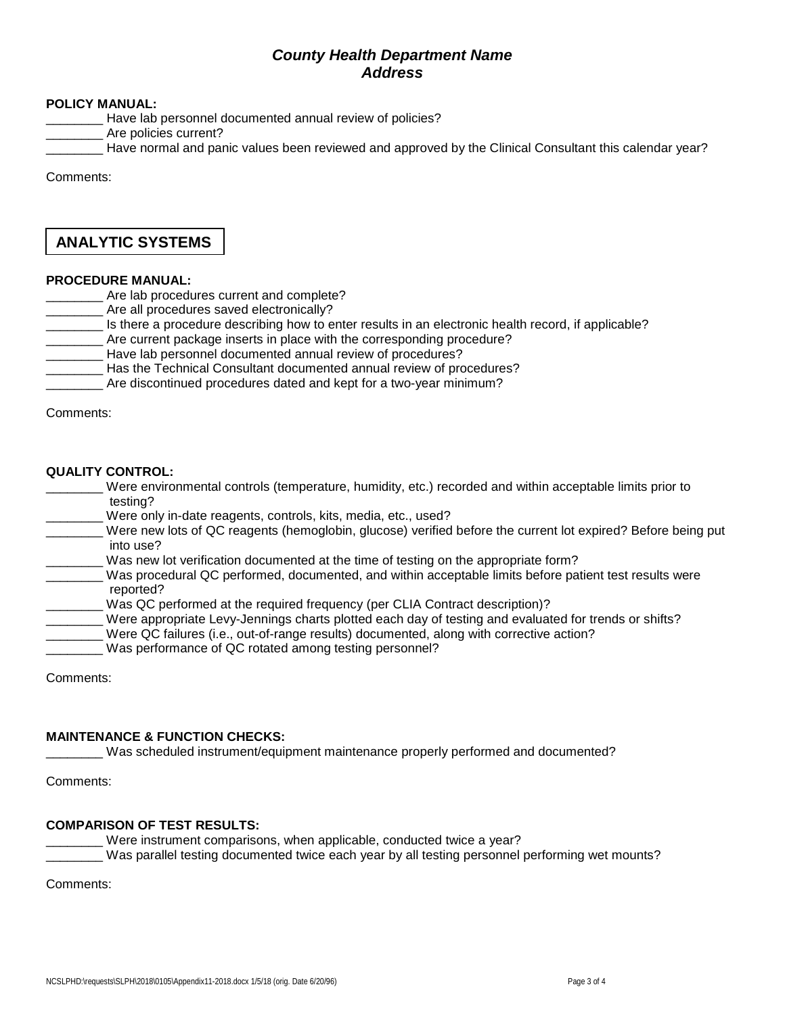#### **POLICY MANUAL:**

- Have lab personnel documented annual review of policies?
- Are policies current?
- Have normal and panic values been reviewed and approved by the Clinical Consultant this calendar year?

Comments:

# **ANALYTIC SYSTEMS**

#### **PROCEDURE MANUAL:**

- \_\_\_\_\_ Are lab procedures current and complete?
- **EXECUTE:** Are all procedures saved electronically?
- \_\_\_\_\_\_\_\_ Is there a procedure describing how to enter results in an electronic health record, if applicable?
- Are current package inserts in place with the corresponding procedure?
- Have lab personnel documented annual review of procedures?
- \_\_\_\_\_\_\_\_ Has the Technical Consultant documented annual review of procedures?
- Are discontinued procedures dated and kept for a two-year minimum?

Comments:

#### **QUALITY CONTROL:**

- Were environmental controls (temperature, humidity, etc.) recorded and within acceptable limits prior to testing?
- Were only in-date reagents, controls, kits, media, etc., used?
- Were new lots of QC reagents (hemoglobin, glucose) verified before the current lot expired? Before being put into use?
- Was new lot verification documented at the time of testing on the appropriate form?
- Was procedural QC performed, documented, and within acceptable limits before patient test results were reported?
- Was QC performed at the required frequency (per CLIA Contract description)?
- Were appropriate Levy-Jennings charts plotted each day of testing and evaluated for trends or shifts?
- Were QC failures (i.e., out-of-range results) documented, along with corrective action?
- Was performance of QC rotated among testing personnel?

Comments:

#### **MAINTENANCE & FUNCTION CHECKS:**

Was scheduled instrument/equipment maintenance properly performed and documented?

Comments:

#### **COMPARISON OF TEST RESULTS:**

Were instrument comparisons, when applicable, conducted twice a year?

\_\_\_\_\_\_\_\_ Was parallel testing documented twice each year by all testing personnel performing wet mounts?

Comments: